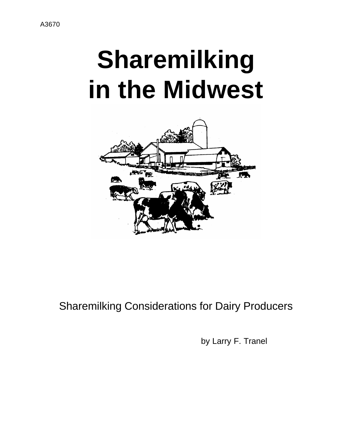# **Sharemilking in the Midwest**



### Sharemilking Considerations for Dairy Producers

by Larry F. Tranel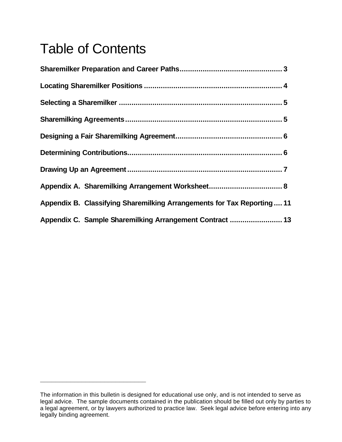## Table of Contents

**\_\_\_\_\_\_\_\_\_\_\_\_\_\_\_\_\_\_\_\_\_\_\_\_\_\_\_\_**

| Appendix B. Classifying Sharemilking Arrangements for Tax Reporting  11 |  |
|-------------------------------------------------------------------------|--|
| Appendix C. Sample Sharemilking Arrangement Contract  13                |  |

The information in this bulletin is designed for educational use only, and is not intended to serve as legal advice. The sample documents contained in the publication should be filled out only by parties to a legal agreement, or by lawyers authorized to practice law. Seek legal advice before entering into any legally binding agreement.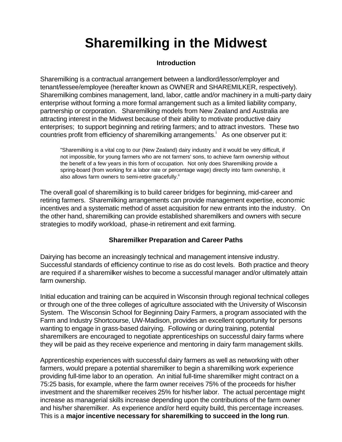## **Sharemilking in the Midwest**

#### **Introduction**

Sharemilking is a contractual arrangement between a landlord/lessor/employer and tenant/lessee/employee (hereafter known as OWNER and SHAREMILKER, respectively). Sharemilking combines management, land, labor, cattle and/or machinery in a multi-party dairy enterprise without forming a more formal arrangement such as a limited liability company, partnership or corporation. Sharemilking models from New Zealand and Australia are attracting interest in the Midwest because of their ability to motivate productive dairy enterprises; to support beginning and retiring farmers; and to attract investors. These two countries profit from efficiency of sharemilking arrangements.<sup>i</sup> As one observer put it:

"Sharemilking is a vital cog to our (New Zealand) dairy industry and it would be very difficult, if not impossible, for young farmers who are not farmers' sons, to achieve farm ownership without the benefit of a few years in this form of occupation. Not only does Sharemilking provide a spring-board (from working for a labor rate or percentage wage) directly into farm ownership, it also allows farm owners to semi-retire gracefully.<sup>ii</sup>

The overall goal of sharemilking is to build career bridges for beginning, mid-career and retiring farmers. Sharemilking arrangements can provide management expertise, economic incentives and a systematic method of asset acquisition for new entrants into the industry. On the other hand, sharemilking can provide established sharemilkers and owners with secure strategies to modify workload, phase-in retirement and exit farming.

#### **Sharemilker Preparation and Career Paths**

Dairying has become an increasingly technical and management intensive industry. Successful standards of efficiency continue to rise as do cost levels. Both practice and theory are required if a sharemilker wishes to become a successful manager and/or ultimately attain farm ownership.

Initial education and training can be acquired in Wisconsin through regional technical colleges or through one of the three colleges of agriculture associated with the University of Wisconsin System. The Wisconsin School for Beginning Dairy Farmers, a program associated with the Farm and Industry Shortcourse, UW-Madison, provides an excellent opportunity for persons wanting to engage in grass-based dairying. Following or during training, potential sharemilkers are encouraged to negotiate apprenticeships on successful dairy farms where they will be paid as they receive experience and mentoring in dairy farm management skills.

Apprenticeship experiences with successful dairy farmers as well as networking with other farmers, would prepare a potential sharemilker to begin a sharemilking work experience providing full-time labor to an operation. An initial full-time sharemilker might contract on a 75:25 basis, for example, where the farm owner receives 75% of the proceeds for his/her investment and the sharemilker receives 25% for his/her labor. The actual percentage might increase as managerial skills increase depending upon the contributions of the farm owner and his/her sharemilker. As experience and/or herd equity build, this percentage increases. This is a **major incentive necessary for sharemilking to succeed in the long run**.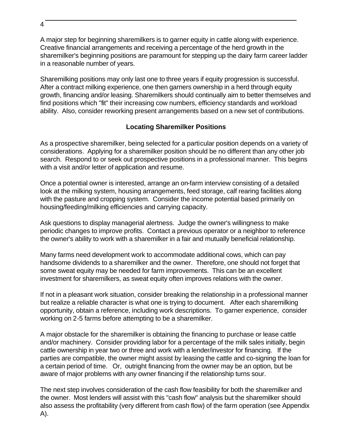A major step for beginning sharemilkers is to garner equity in cattle along with experience. Creative financial arrangements and receiving a percentage of the herd growth in the sharemilker's beginning positions are paramount for stepping up the dairy farm career ladder in a reasonable number of years.

Sharemilking positions may only last one to three years if equity progression is successful. After a contract milking experience, one then garners ownership in a herd through equity growth, financing and/or leasing. Sharemilkers should continually aim to better themselves and find positions which "fit" their increasing cow numbers, efficiency standards and workload ability. Also, consider reworking present arrangements based on a new set of contributions.

#### **Locating Sharemilker Positions**

As a prospective sharemilker, being selected for a particular position depends on a variety of considerations. Applying for a sharemilker position should be no different than any other job search. Respond to or seek out prospective positions in a professional manner. This begins with a visit and/or letter of application and resume.

Once a potential owner is interested, arrange an on-farm interview consisting of a detailed look at the milking system, housing arrangements, feed storage, calf rearing facilities along with the pasture and cropping system. Consider the income potential based primarily on housing/feeding/milking efficiencies and carrying capacity.

Ask questions to display managerial alertness. Judge the owner's willingness to make periodic changes to improve profits. Contact a previous operator or a neighbor to reference the owner's ability to work with a sharemilker in a fair and mutually beneficial relationship.

Many farms need development work to accommodate additional cows, which can pay handsome dividends to a sharemilker and the owner. Therefore, one should not forget that some sweat equity may be needed for farm improvements. This can be an excellent investment for sharemilkers, as sweat equity often improves relations with the owner.

If not in a pleasant work situation, consider breaking the relationship in a professional manner but realize a reliable character is what one is trying to document. After each sharemilking opportunity, obtain a reference, including work descriptions. To garner experience, consider working on 2-5 farms before attempting to be a sharemilker.

A major obstacle for the sharemilker is obtaining the financing to purchase or lease cattle and/or machinery. Consider providing labor for a percentage of the milk sales initially, begin cattle ownership in year two or three and work with a lender/investor for financing. If the parties are compatible, the owner might assist by leasing the cattle and co-signing the loan for a certain period of time. Or, outright financing from the owner may be an option, but be aware of major problems with any owner financing if the relationship turns sour.

The next step involves consideration of the cash flow feasibility for both the sharemilker and the owner. Most lenders will assist with this "cash flow" analysis but the sharemilker should also assess the profitability (very different from cash flow) of the farm operation (see Appendix A).

4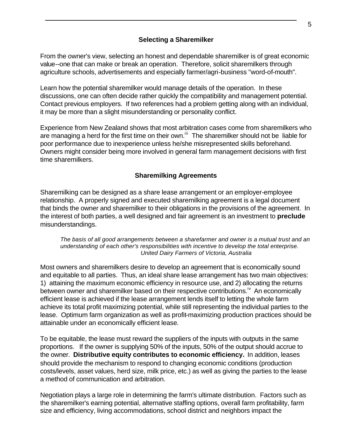#### **Selecting a Sharemilker**

From the owner's view, selecting an honest and dependable sharemilker is of great economic value--one that can make or break an operation. Therefore, solicit sharemilkers through agriculture schools, advertisements and especially farmer/agri-business "word-of-mouth".

Learn how the potential sharemilker would manage details of the operation. In these discussions, one can often decide rather quickly the compatibility and management potential. Contact previous employers. If two references had a problem getting along with an individual, it may be more than a slight misunderstanding or personality conflict.

Experience from New Zealand shows that most arbitration cases come from sharemilkers who are managing a herd for the first time on their own.<sup>iii</sup> The sharemilker should not be liable for poor performance due to inexperience unless he/she misrepresented skills beforehand. Owners might consider being more involved in general farm management decisions with first time sharemilkers.

#### **Sharemilking Agreements**

Sharemilking can be designed as a share lease arrangement or an employer-employee relationship. A properly signed and executed sharemilking agreement is a legal document that binds the owner and sharemilker to their obligations in the provisions of the agreement. In the interest of both parties, a well designed and fair agreement is an investment to **preclude** misunderstandings.

#### *The basis of all good arrangements between a sharefarmer and owner is a mutual trust and an understanding of each other's responsibilities with incentive to develop the total enterprise. United Dairy Farmers of Victoria, Australia*

Most owners and sharemilkers desire to develop an agreement that is economically sound and equitable to all parties. Thus, an ideal share lease arrangement has two main objectives: 1) attaining the maximum economic efficiency in resource use, and 2) allocating the returns between owner and sharemilker based on their respective contributions.<sup>"</sup> An economically efficient lease is achieved if the lease arrangement lends itself to letting the whole farm achieve its total profit maximizing potential, while still representing the individual parties to the lease. Optimum farm organization as well as profit-maximizing production practices should be attainable under an economically efficient lease.

To be equitable, the lease must reward the suppliers of the inputs with outputs in the same proportions. If the owner is supplying 50% of the inputs, 50% of the output should accrue to the owner. **Distributive equity contributes to economic efficiency.** In addition, leases should provide the mechanism to respond to changing economic conditions (production costs/levels, asset values, herd size, milk price, etc.) as well as giving the parties to the lease a method of communication and arbitration.

Negotiation plays a large role in determining the farm's ultimate distribution. Factors such as the sharemilker's earning potential, alternative staffing options, overall farm profitability, farm size and efficiency, living accommodations, school district and neighbors impact the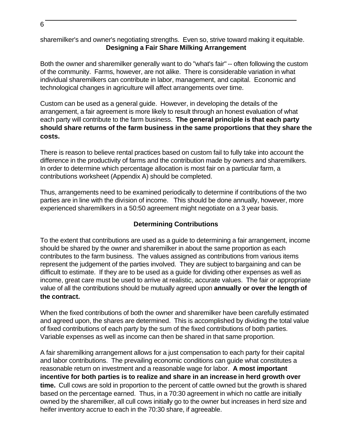sharemilker's and owner's negotiating strengths. Even so, strive toward making it equitable. **Designing a Fair Share Milking Arrangement**

Both the owner and sharemilker generally want to do "what's fair" -- often following the custom of the community. Farms, however, are not alike. There is considerable variation in what individual sharemilkers can contribute in labor, management, and capital. Economic and technological changes in agriculture will affect arrangements over time.

Custom can be used as a general guide. However, in developing the details of the arrangement, a fair agreement is more likely to result through an honest evaluation of what each party will contribute to the farm business. **The general principle is that each party should share returns of the farm business in the same proportions that they share the costs.**

There is reason to believe rental practices based on custom fail to fully take into account the difference in the productivity of farms and the contribution made by owners and sharemilkers. In order to determine which percentage allocation is most fair on a particular farm, a contributions worksheet (Appendix A) should be completed.

Thus, arrangements need to be examined periodically to determine if contributions of the two parties are in line with the division of income. This should be done annually, however, more experienced sharemilkers in a 50:50 agreement might negotiate on a 3 year basis.

#### **Determining Contributions**

To the extent that contributions are used as a guide to determining a fair arrangement, income should be shared by the owner and sharemilker in about the same proportion as each contributes to the farm business. The values assigned as contributions from various items represent the judgement of the parties involved. They are subject to bargaining and can be difficult to estimate. If they are to be used as a guide for dividing other expenses as well as income, great care must be used to arrive at realistic, accurate values. The fair or appropriate value of all the contributions should be mutually agreed upon **annually or over the length of the contract.**

When the fixed contributions of both the owner and sharemilker have been carefully estimated and agreed upon, the shares are determined. This is accomplished by dividing the total value of fixed contributions of each party by the sum of the fixed contributions of both parties. Variable expenses as well as income can then be shared in that same proportion.

A fair sharemilking arrangement allows for a just compensation to each party for their capital and labor contributions. The prevailing economic conditions can guide what constitutes a reasonable return on investment and a reasonable wage for labor. **A most important incentive for both parties is to realize and share in an increase in herd growth over time.** Cull cows are sold in proportion to the percent of cattle owned but the growth is shared based on the percentage earned. Thus, in a 70:30 agreement in which no cattle are initially owned by the sharemilker, all cull cows initially go to the owner but increases in herd size and heifer inventory accrue to each in the 70:30 share, if agreeable.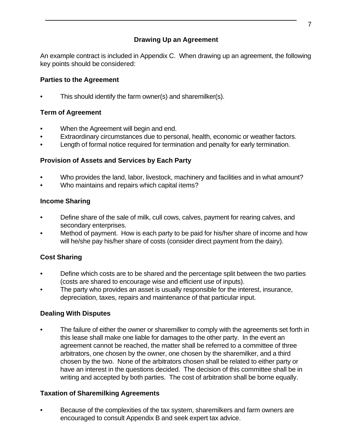#### **Drawing Up an Agreement**

An example contract is included in Appendix C. When drawing up an agreement, the following key points should be considered:

#### **Parties to the Agreement**

This should identify the farm owner(s) and sharemilker(s).

#### **Term of Agreement**

- When the Agreement will begin and end.
- Extraordinary circumstances due to personal, health, economic or weather factors.
- Length of formal notice required for termination and penalty for early termination.

#### **Provision of Assets and Services by Each Party**

- Who provides the land, labor, livestock, machinery and facilities and in what amount?
- Who maintains and repairs which capital items?

#### **Income Sharing**

- Define share of the sale of milk, cull cows, calves, payment for rearing calves, and secondary enterprises.
- Method of payment. How is each party to be paid for his/her share of income and how will he/she pay his/her share of costs (consider direct payment from the dairy).

#### **Cost Sharing**

- Define which costs are to be shared and the percentage split between the two parties (costs are shared to encourage wise and efficient use of inputs).
- The party who provides an asset is usually responsible for the interest, insurance, depreciation, taxes, repairs and maintenance of that particular input.

#### **Dealing With Disputes**

• The failure of either the owner or sharemilker to comply with the agreements set forth in this lease shall make one liable for damages to the other party. In the event an agreement cannot be reached, the matter shall be referred to a committee of three arbitrators, one chosen by the owner, one chosen by the sharemilker, and a third chosen by the two. None of the arbitrators chosen shall be related to either party or have an interest in the questions decided. The decision of this committee shall be in writing and accepted by both parties. The cost of arbitration shall be borne equally.

#### **Taxation of Sharemilking Agreements**

• Because of the complexities of the tax system, sharemilkers and farm owners are encouraged to consult Appendix B and seek expert tax advice.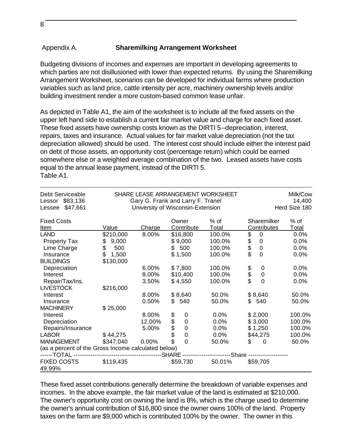#### Appendix A. **Sharemilking Arrangement Worksheet**

Budgeting divisions of incomes and expenses are important in developing agreements to which parties are not disillusioned with lower than expected returns. By using the Sharemilking Arrangement Worksheet, scenarios can be developed for individual farms where production variables such as land price, cattle intensity per acre, machinery ownership levels and/or building investment render a more custom-based common lease unfair.

As depicted in Table A1, the aim of the worksheet is to include all the fixed assets on the upper left hand side to establish a current fair market value and charge for each fixed asset. These fixed assets have ownership costs known as the DIRTI 5--depreciation, interest, repairs, taxes and insurance. Actual values for fair market value depreciation (not the tax depreciation allowed) should be used. The interest cost should include either the interest paid on debt of those assets, an opportunity cost (percentage return) which could be earned somewhere else or a weighted average combination of the two. Leased assets have costs equal to the annual lease payment, instead of the DIRTI 5. Table A1.

| Debt Serviceable<br>\$83,136<br>Lessor              | SHARE LEASE ARRANGEMENT WORKSHEET<br>Gary G. Frank and Larry F. Tranel |                                   |                         |                     |                           | Milk/Cow<br>14,400 |  |
|-----------------------------------------------------|------------------------------------------------------------------------|-----------------------------------|-------------------------|---------------------|---------------------------|--------------------|--|
| \$47,661<br>Lessee                                  |                                                                        | University of Wisconsin-Extension |                         |                     |                           | Herd Size 180      |  |
| <b>Fixed Costs</b>                                  |                                                                        |                                   | Owner                   | $%$ of              | Sharemilker               | $%$ of             |  |
| Item                                                | Value                                                                  | Charge                            | <b>Contribute</b>       | <b>Total</b>        | <b>Contributes</b>        | <b>Total</b>       |  |
| <b>LAND</b>                                         | \$210,000                                                              | 8.00%                             | \$16,800                | 100.0%              | \$<br>$\mathbf 0$         | 0.0%               |  |
| <b>Property Tax</b>                                 | 9,000<br>\$                                                            |                                   | \$9,000                 | 100.0%              | 0                         | 0.0%               |  |
| Lime Charge                                         | \$<br>500                                                              |                                   | \$<br>500               | 100.0%              | \$\$<br>$\mathbf 0$       | 0.0%               |  |
| Insurance                                           | \$<br>1,500                                                            |                                   | \$1,500                 | 100.0%              | $\overline{0}$            | 0.0%               |  |
| <b>BUILDINGS</b>                                    | \$130,000                                                              |                                   |                         |                     |                           |                    |  |
| Depreciation                                        |                                                                        | 6.00%                             | \$7,800                 | 100.0%              | 0                         | 0.0%               |  |
| Interest                                            |                                                                        | 8.00%                             | \$10,400                | 100.0%              | \$\$<br>$\mathbf 0$       | 0.0%               |  |
| Repair/Tax/Ins.                                     |                                                                        | 3.50%                             | \$4,550                 | 100.0%              | $\mathbf{0}$              | 0.0%               |  |
| <b>LIVESTOCK</b>                                    | \$216,000                                                              |                                   |                         |                     |                           |                    |  |
| Interest                                            |                                                                        | 8.00%                             | \$8,640                 | 50.0%               | \$8,640                   | 50.0%              |  |
| Insurance                                           |                                                                        | 0.50%                             | \$<br>540               | 50.0%               | \$<br>540                 | 50.0%              |  |
| <b>MACHINERY</b>                                    | \$25,000                                                               |                                   |                         |                     |                           |                    |  |
| Interest                                            |                                                                        | 8.00%                             | \$<br>0                 | 0.0%                | \$2,000                   | 100.0%             |  |
| Depreciation                                        |                                                                        | 12.00%                            | \$<br>$\mathbf 0$       | 0.0%                | \$3,000                   | 100.0%             |  |
| Repairs/Insurance                                   |                                                                        | 5.00%                             | $\mathbf 0$             | 0.0%                | \$1,250                   | 100.0%             |  |
| <b>LABOR</b>                                        | \$44,275                                                               |                                   | \$<br>\$<br>$\mathbf 0$ | 0.0%                | \$44,275                  | 100.0%             |  |
| <b>MANAGEMENT</b>                                   | \$347,040                                                              | $0.00\%$                          | \$<br>$\overline{0}$    | 50.0%               | \$<br>$\Omega$            | 50.0%              |  |
| (as a percent of the Gross Income calculated below) |                                                                        |                                   |                         |                     |                           |                    |  |
| ------TOTAL ---                                     | -------------------------------------                                  |                                   | --SHARE --              | ------------------- | -Share ------------------ |                    |  |
| <b>FIXED COSTS</b><br>49.99%                        | \$119,435                                                              |                                   | \$59,730                | 50.01%              | \$59,705                  |                    |  |

These fixed asset contributions generally determine the breakdown of variable expenses and incomes. In the above example, the fair market value of the land is estimated at \$210,000. The owner's opportunity cost on owning the land is 8%, which is the charge used to determine the owner's annual contribution of \$16,800 since the owner owns 100% of the land. Property taxes on the farm are \$9,000 which is contributed 100% by the owner. The owner in this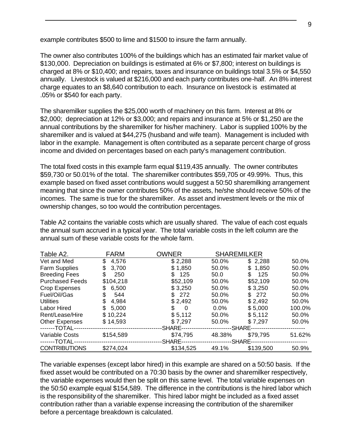example contributes \$500 to lime and \$1500 to insure the farm annually.

The owner also contributes 100% of the buildings which has an estimated fair market value of \$130,000. Depreciation on buildings is estimated at 6% or \$7,800; interest on buildings is charged at 8% or \$10,400; and repairs, taxes and insurance on buildings total 3.5% or \$4,550 annually. Livestock is valued at \$216,000 and each party contributes one-half. An 8% interest charge equates to an \$8,640 contribution to each. Insurance on livestock is estimated at .05% or \$540 for each party.

The sharemilker supplies the \$25,000 worth of machinery on this farm. Interest at 8% or \$2,000; depreciation at 12% or \$3,000; and repairs and insurance at 5% or \$1,250 are the annual contributions by the sharemilker for his/her machinery. Labor is supplied 100% by the sharemilker and is valued at \$44,275 (husband and wife team). Management is included with labor in the example. Management is often contributed as a separate percent charge of gross income and divided on percentages based on each party's management contribution.

The total fixed costs in this example farm equal \$119,435 annually. The owner contributes \$59,730 or 50.01% of the total. The sharemilker contributes \$59,705 or 49.99%. Thus, this example based on fixed asset contributions would suggest a 50:50 sharemilking arrangement meaning that since the owner contributes 50% of the assets, he/she should receive 50% of the incomes. The same is true for the sharemilker. As asset and investment levels or the mix of ownership changes, so too would the contribution percentages.

Table A2 contains the variable costs which are usually shared. The value of each cost equals the annual sum accrued in a typical year. The total variable costs in the left column are the annual sum of these variable costs for the whole farm.

| Table A2.              | <b>FARM</b> | <b>OWNER</b> | <b>SHAREMILKER</b> |            |        |
|------------------------|-------------|--------------|--------------------|------------|--------|
| Vet and Med            | 4,576<br>\$ | \$2,288      | 50.0%              | \$2,288    | 50.0%  |
| <b>Farm Supplies</b>   | 3,700<br>S  | \$1,850      | 50.0%              | \$1,850    | 50.0%  |
| <b>Breeding Fees</b>   | 250<br>S    | 125          | 50.0               | 125<br>\$. | 50.0%  |
| <b>Purchased Feeds</b> | \$104,218   | \$52,109     | 50.0%              | \$52,109   | 50.0%  |
| Crop Expenses          | 6,500       | \$3,250      | 50.0%              | \$3,250    | 50.0%  |
| Fuel/Oil/Gas           | 544         | 272          | 50.0%              | \$272      | 50.0%  |
| <b>Utilities</b>       | 4,984       | \$2,492      | 50.0%              | \$2,492    | 50.0%  |
| Labor Hired            | 5,000<br>S. | 0<br>\$.     | $0.0\%$            | \$5,000    | 100.0% |
| Rent/Lease/Hire        | \$10,224    | \$5,112      | 50.0%              | \$5,112    | 50.0%  |
| <b>Other Expenses</b>  | \$14,593    | \$7,297      | 50.0%              | \$7,297    | 50.0%  |
| -------TOTAL--         |             | -SHARE--     |                    | -SHARE--   |        |
| Variable Costs         | \$154,589   | \$74,795     | 48.38%             | \$79,795   | 51.62% |
| -------TOTAL--         |             | -SHARE--     |                    | -SHARE-    |        |
| <b>CONTRIBUTIONS</b>   | \$274,024   | \$134,525    | 49.1%              | \$139,500  | 50.9%  |

The variable expenses (except labor hired) in this example are shared on a 50:50 basis. If the fixed asset would be contributed on a 70:30 basis by the owner and sharemilker respectively, the variable expenses would then be split on this same level. The total variable expenses on the 50:50 example equal \$154,589. The difference in the contributions is the hired labor which is the responsibility of the sharemilker. This hired labor might be included as a fixed asset contribution rather than a variable expense increasing the contribution of the sharemilker before a percentage breakdown is calculated.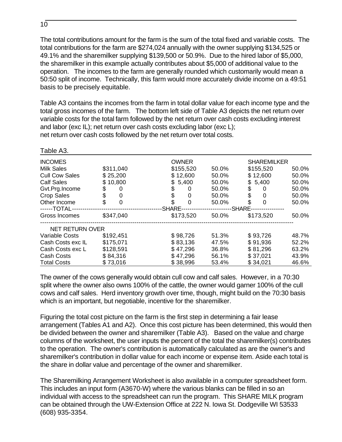The total contributions amount for the farm is the sum of the total fixed and variable costs. The total contributions for the farm are \$274,024 annually with the owner supplying \$134,525 or 49.1% and the sharemilker supplying \$139,500 or 50.9%. Due to the hired labor of \$5,000, the sharemilker in this example actually contributes about \$5,000 of additional value to the operation. The incomes to the farm are generally rounded which customarily would mean a 50:50 split of income. Technically, this farm would more accurately divide income on a 49:51 basis to be precisely equitable.

Table A3 contains the incomes from the farm in total dollar value for each income type and the total gross incomes of the farm. The bottom left side of Table A3 depicts the net return over variable costs for the total farm followed by the net return over cash costs excluding interest and labor (exc IL); net return over cash costs excluding labor (exc L); net return over cash costs followed by the net return over total costs.

| Table A3.             |                   |              |       |                    |       |
|-----------------------|-------------------|--------------|-------|--------------------|-------|
| <b>INCOMES</b>        |                   | <b>OWNER</b> |       | <b>SHAREMILKER</b> |       |
| <b>Milk Sales</b>     | \$311,040         | \$155,520    | 50.0% | \$155,520          | 50.0% |
| <b>Cull Cow Sales</b> | \$25,200          | \$12,600     | 50.0% | \$12,600           | 50.0% |
| <b>Calf Sales</b>     | \$10,800          | \$5,400      | 50.0% | \$5,400            | 50.0% |
| Gvt.Prg.Income        | 0                 | \$<br>O      | 50.0% | 0                  | 50.0% |
| <b>Crop Sales</b>     | \$<br>0           | \$<br>0      | 50.0% | 0                  | 50.0% |
| Other Income          | \$<br>$\mathbf 0$ | 0            | 50.0% | $\Omega$           | 50.0% |
| ------TOTAL--         |                   | -SHARE-      |       | -SHARE-            |       |
| Gross Incomes         | \$347,040         | \$173,520    | 50.0% | \$173,520          | 50.0% |
| NET RETURN OVER       |                   |              |       |                    |       |
| <b>Variable Costs</b> | \$192,451         | \$98,726     | 51.3% | \$93,726           | 48.7% |
| Cash Costs exc IL     | \$175,071         | \$83,136     | 47.5% | \$91,936           | 52.2% |
| Cash Costs exc L      | \$128,591         | \$47,296     | 36.8% | \$81,296           | 63.2% |
| Cash Costs            | \$84,316          | \$47,296     | 56.1% | \$37,021           | 43.9% |
| <b>Total Costs</b>    | \$73,016          | \$38,996     | 53.4% | \$34,021           | 46.6% |

The owner of the cows generally would obtain cull cow and calf sales. However, in a 70:30 split where the owner also owns 100% of the cattle, the owner would garner 100% of the cull cows and calf sales. Herd inventory growth over time, though, might build on the 70:30 basis which is an important, but negotiable, incentive for the sharemilker.

Figuring the total cost picture on the farm is the first step in determining a fair lease arrangement (Tables A1 and A2). Once this cost picture has been determined, this would then be divided between the owner and sharemilker (Table A3). Based on the value and charge columns of the worksheet, the user inputs the percent of the total the sharemilker(s) contributes to the operation. The owner's contribution is automatically calculated as are the owner's and sharemilker's contribution in dollar value for each income or expense item. Aside each total is the share in dollar value and percentage of the owner and sharemilker.

The Sharemilking Arrangement Worksheet is also available in a computer spreadsheet form. This includes an input form (A3670-W) where the various blanks can be filled in so an individual with access to the spreadsheet can run the program. This SHARE MILK program can be obtained through the UW-Extension Office at 222 N. Iowa St. Dodgeville WI 53533 (608) 935-3354.